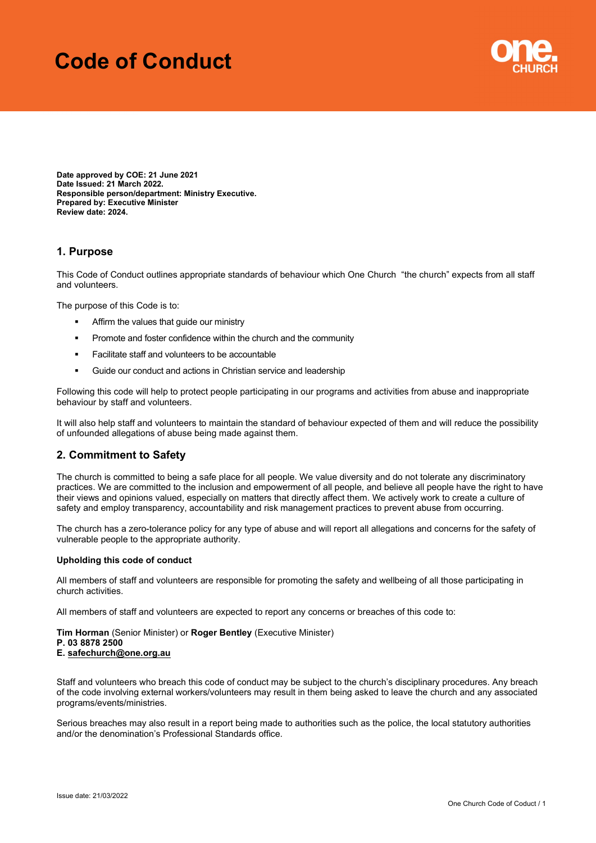# Code of Conduct



Date approved by COE: 21 June 2021 Date Issued: 21 March 2022. Responsible person/department: Ministry Executive. Prepared by: Executive Minister Review date: 2024.

## 1. Purpose

This Code of Conduct outlines appropriate standards of behaviour which One Church "the church" expects from all staff and volunteers.

The purpose of this Code is to:

- **Affirm the values that guide our ministry**
- Promote and foster confidence within the church and the community
- **Facilitate staff and volunteers to be accountable**
- Guide our conduct and actions in Christian service and leadership

Following this code will help to protect people participating in our programs and activities from abuse and inappropriate behaviour by staff and volunteers.

It will also help staff and volunteers to maintain the standard of behaviour expected of them and will reduce the possibility of unfounded allegations of abuse being made against them.

### 2. Commitment to Safety

The church is committed to being a safe place for all people. We value diversity and do not tolerate any discriminatory practices. We are committed to the inclusion and empowerment of all people, and believe all people have the right to have their views and opinions valued, especially on matters that directly affect them. We actively work to create a culture of safety and employ transparency, accountability and risk management practices to prevent abuse from occurring.

The church has a zero-tolerance policy for any type of abuse and will report all allegations and concerns for the safety of vulnerable people to the appropriate authority.

#### Upholding this code of conduct

All members of staff and volunteers are responsible for promoting the safety and wellbeing of all those participating in church activities.

All members of staff and volunteers are expected to report any concerns or breaches of this code to:

Tim Horman (Senior Minister) or Roger Bentley (Executive Minister) P. 03 8878 2500 E. safechurch@one.org.au

Staff and volunteers who breach this code of conduct may be subject to the church's disciplinary procedures. Any breach of the code involving external workers/volunteers may result in them being asked to leave the church and any associated programs/events/ministries.

Serious breaches may also result in a report being made to authorities such as the police, the local statutory authorities and/or the denomination's Professional Standards office.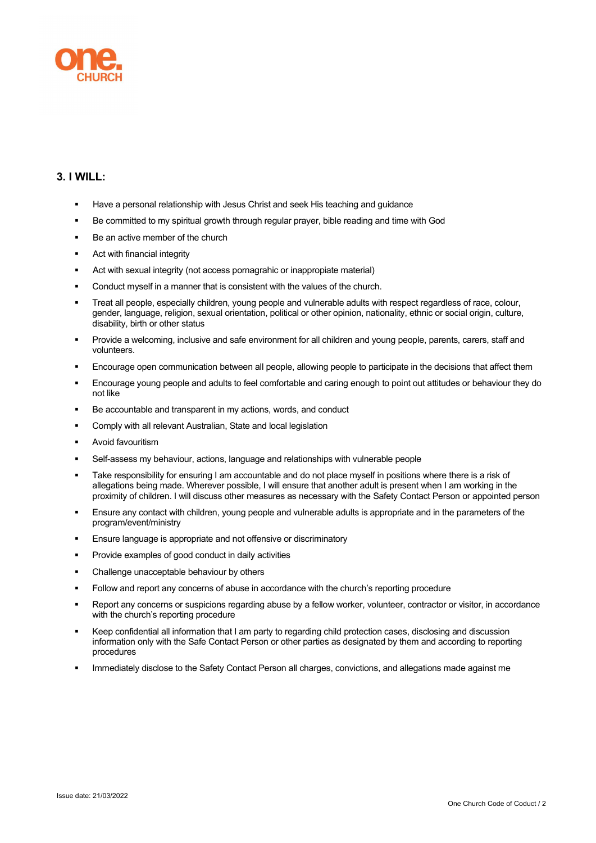

# 3. I WILL:

- Have a personal relationship with Jesus Christ and seek His teaching and guidance
- Be committed to my spiritual growth through regular prayer, bible reading and time with God
- Be an active member of the church
- Act with financial integrity
- Act with sexual integrity (not access pornagrahic or inappropiate material)
- Conduct myself in a manner that is consistent with the values of the church.
- Treat all people, especially children, young people and vulnerable adults with respect regardless of race, colour, gender, language, religion, sexual orientation, political or other opinion, nationality, ethnic or social origin, culture, disability, birth or other status
- Provide a welcoming, inclusive and safe environment for all children and young people, parents, carers, staff and volunteers.
- Encourage open communication between all people, allowing people to participate in the decisions that affect them
- Encourage young people and adults to feel comfortable and caring enough to point out attitudes or behaviour they do not like
- Be accountable and transparent in my actions, words, and conduct
- Comply with all relevant Australian, State and local legislation
- Avoid favouritism
- Self-assess my behaviour, actions, language and relationships with vulnerable people
- Take responsibility for ensuring I am accountable and do not place myself in positions where there is a risk of allegations being made. Wherever possible, I will ensure that another adult is present when I am working in the proximity of children. I will discuss other measures as necessary with the Safety Contact Person or appointed person
- Ensure any contact with children, young people and vulnerable adults is appropriate and in the parameters of the program/event/ministry
- Ensure language is appropriate and not offensive or discriminatory
- **Provide examples of good conduct in daily activities**
- Challenge unacceptable behaviour by others
- Follow and report any concerns of abuse in accordance with the church's reporting procedure
- Report any concerns or suspicions regarding abuse by a fellow worker, volunteer, contractor or visitor, in accordance with the church's reporting procedure
- Keep confidential all information that I am party to regarding child protection cases, disclosing and discussion information only with the Safe Contact Person or other parties as designated by them and according to reporting procedures
- Immediately disclose to the Safety Contact Person all charges, convictions, and allegations made against me